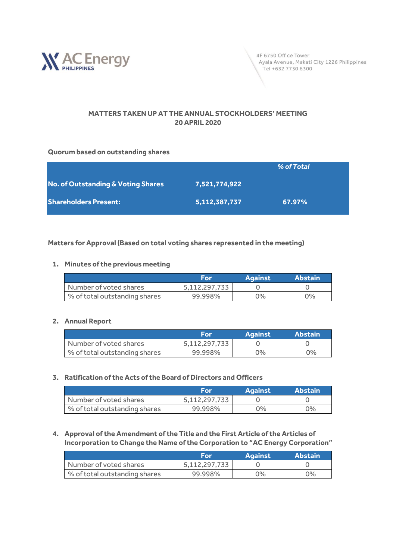

4F 6750 Office Tower Ayala Avenue, Makati City 1226 Philippines Tel +632 7730 6300

## **MATTERS TAKEN UP AT THE ANNUAL STOCKHOLDERS' MEETING 20 APRIL 2020**

#### **Quorum based on outstanding shares**

|                                               |               | % of Total |
|-----------------------------------------------|---------------|------------|
| <b>No. of Outstanding &amp; Voting Shares</b> | 7,521,774,922 |            |
| <b>Shareholders Present:</b>                  | 5,112,387,737 | 67.97%     |

### **Matters for Approval (Based on total voting shares represented in the meeting)**

#### **1. Minutes of the previous meeting**

|                               | For           | <b>Against</b> | <b>Abstain</b> |
|-------------------------------|---------------|----------------|----------------|
| Number of voted shares        | 5,112,297,733 |                |                |
| % of total outstanding shares | 99.998%       | ገ%             | $O\%$          |

#### **2. Annual Report**

|                               | For           | <b>Against</b> | <b>Abstain</b> |
|-------------------------------|---------------|----------------|----------------|
| Number of voted shares        | 5,112,297,733 |                |                |
| % of total outstanding shares | 99.998%       | $0\%$          | 0%             |

#### **3. Ratification of the Acts of the Board of Directors and Officers**

|                               | For           | <b>Against</b> | <b>Abstain</b> |
|-------------------------------|---------------|----------------|----------------|
| Number of voted shares        | 5.112.297.733 |                |                |
| % of total outstanding shares | 99.998%       | $0\%$          | $0\%$          |

**4. Approval of the Amendment of the Title and the First Article of the Articles of Incorporation to Change the Name of the Corporation to "AC Energy Corporation"**

|                               | For           | <b>Against</b> | <b>Abstain</b> |
|-------------------------------|---------------|----------------|----------------|
| Number of voted shares        | 5,112,297,733 |                |                |
| % of total outstanding shares | 99.998%       | $0\%$          | $0\%$          |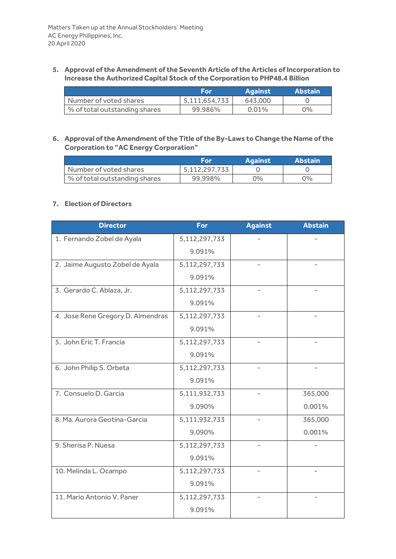**5. Approval of the Amendment of the Seventh Article of the Articles of Incorporation to Increase the Authorized Capital Stock of the Corporation to PHP48.4 Billion**

|                               | For           | <b>Against</b> | <b>Abstain</b> |
|-------------------------------|---------------|----------------|----------------|
| Number of voted shares        | 5.111.654.733 | 643,000        |                |
| % of total outstanding shares | 99.986%       | $0.01\%$       | $2\%$          |

**6. Approval of the Amendment of the Title of the By-Laws to Change the Name of the Corporation to "AC Energy Corporation"**

|                               | For           | <b>Against</b> | <b>Abstain</b> |
|-------------------------------|---------------|----------------|----------------|
| Number of voted shares        | 5,112,297,733 |                |                |
| % of total outstanding shares | 99.998%       | $2\%$          | 9%             |

## **7. Election of Directors**

| <b>Director</b>                   | <b>For</b>    | <b>Against</b> | <b>Abstain</b> |
|-----------------------------------|---------------|----------------|----------------|
| 1. Fernando Zobel de Ayala        | 5,112,297,733 |                |                |
|                                   | 9.091%        |                |                |
| 2. Jaime Augusto Zobel de Ayala   | 5,112,297,733 |                |                |
|                                   | 9.091%        |                |                |
| 3. Gerardo C. Ablaza, Jr.         | 5,112,297,733 |                |                |
|                                   | 9.091%        |                |                |
| 4. Jose Rene Gregory D. Almendras | 5,112,297,733 |                |                |
|                                   | 9.091%        |                |                |
| 5. John Eric T. Francia           | 5,112,297,733 |                |                |
|                                   | 9.091%        |                |                |
| 6. John Philip S. Orbeta          | 5,112,297,733 |                |                |
|                                   | 9.091%        |                |                |
| 7. Consuelo D. Garcia             | 5,111,932,733 |                | 365,000        |
|                                   | 9.090%        |                | 0.001%         |
| 8. Ma. Aurora Geotina-Garcia      | 5,111,932,733 |                | 365,000        |
|                                   | 9.090%        |                | 0.001%         |
| 9. Sherisa P. Nuesa               | 5,112,297,733 |                |                |
|                                   | 9.091%        |                |                |
| 10. Melinda L. Ocampo             | 5,112,297,733 |                |                |
|                                   | 9.091%        |                |                |
| 11. Mario Antonio V. Paner        | 5,112,297,733 |                |                |
|                                   | 9.091%        |                |                |